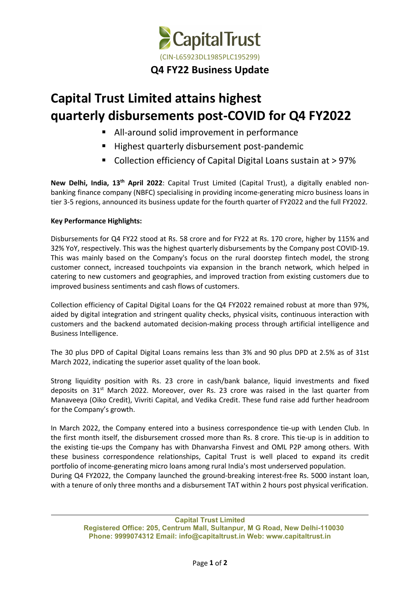

## **Capital Trust Limited attains highest quarterly disbursements post-COVID for Q4 FY2022**

- All-around solid improvement in performance
- Highest quarterly disbursement post-pandemic
- Collection efficiency of Capital Digital Loans sustain at > 97%

**New Delhi, India, 13 th April 2022**: Capital Trust Limited (Capital Trust), a digitally enabled non banking finance company (NBFC) specialising in providing income-generating micro business loans in tier 3-5 regions, announced its business update for the fourth quarter of FY2022 and the full FY2022.

## **Key Performance Highlights:**

Disbursements for Q4 FY22 stood at Rs. 58 crore and for FY22 at Rs. 170 crore, higher by 115% and 32% YoY, respectively. This was the highest quarterly disbursements by the Company post COVID-19. This was mainly based on the Company's focus on the rural doorstep fintech model, the strong customer connect, increased touchpoints via expansion in the branch network, which helped in catering to new customers and geographies, and improved traction from existing customers due to improved business sentiments and cash flows of customers.

Collection efficiency of Capital Digital Loans for the Q4 FY2022 remained robust at more than 97%, aided by digital integration and stringent quality checks, physical visits, continuous interaction with customers and the backend automated decision-making process through artificial intelligence and Business Intelligence.

The 30 plus DPD of Capital Digital Loans remains less than 3% and 90 plus DPD at 2.5% as of 31st March 2022, indicating the superior asset quality of the loan book.

Strong liquidity position with Rs. 23 crore in cash/bank balance, liquid investments and fixed deposits on 31<sup>st</sup> March 2022. Moreover, over Rs. 23 crore was raised in the last quarter from Manaveeya (Oiko Credit), Vivriti Capital, and Vedika Credit. These fund raise add further headroom for the Company's growth.

In March 2022, the Company entered into a business correspondence tie-up with Lenden Club. In the first month itself, the disbursement crossed more than Rs. 8 crore. This tie-up is in addition to the existing tie-ups the Company has with Dhanvarsha Finvest and OML P2P among others. With these business correspondence relationships, Capital Trust is well placed to expand its credit portfolio of income-generating micro loans among rural India's most underserved population. During Q4 FY2022, the Company launched the ground-breaking interest-free Rs. 5000 instant loan, with a tenure of only three months and a disbursement TAT within 2 hours post physical verification.